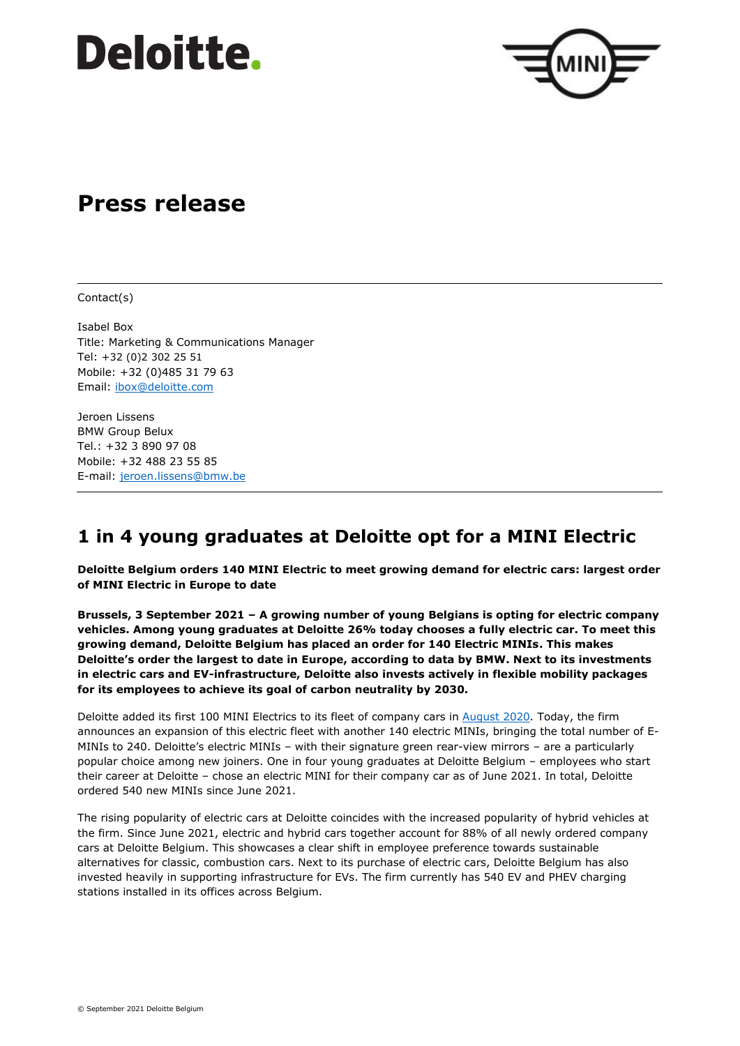# **Deloitte.**



## **Press release**

Contact(s)

Isabel Box Title: Marketing & Communications Manager Tel: +32 (0)2 302 25 51 Mobile: +32 (0)485 31 79 63 Email: [ibox@deloitte.com](mailto:ibox@deloitte.com)

Jeroen Lissens BMW Group Belux Tel.: +32 3 890 97 08 Mobile: +32 488 23 55 85 E-mail: [jeroen.lissens@bmw.be](mailto:jeroen.lissens@bmw.be)

### **1 in 4 young graduates at Deloitte opt for a MINI Electric**

**Deloitte Belgium orders 140 MINI Electric to meet growing demand for electric cars: largest order of MINI Electric in Europe to date**

**Brussels, 3 September 2021 – A growing number of young Belgians is opting for electric company vehicles. Among young graduates at Deloitte 26% today chooses a fully electric car. To meet this growing demand, Deloitte Belgium has placed an order for 140 Electric MINIs. This makes Deloitte's order the largest to date in Europe, according to data by BMW. Next to its investments in electric cars and EV-infrastructure, Deloitte also invests actively in flexible mobility packages for its employees to achieve its goal of carbon neutrality by 2030.**

Deloitte added its first 100 MINI Electrics to its fleet of company cars in [August 2020.](https://www2.deloitte.com/be/en/pages/about-deloitte/articles/deloitte-adds-MINI-Electric-to-its-fleet.html) Today, the firm announces an expansion of this electric fleet with another 140 electric MINIs, bringing the total number of E-MINIs to 240. Deloitte's electric MINIs – with their signature green rear-view mirrors – are a particularly popular choice among new joiners. One in four young graduates at Deloitte Belgium – employees who start their career at Deloitte – chose an electric MINI for their company car as of June 2021. In total, Deloitte ordered 540 new MINIs since June 2021.

The rising popularity of electric cars at Deloitte coincides with the increased popularity of hybrid vehicles at the firm. Since June 2021, electric and hybrid cars together account for 88% of all newly ordered company cars at Deloitte Belgium. This showcases a clear shift in employee preference towards sustainable alternatives for classic, combustion cars. Next to its purchase of electric cars, Deloitte Belgium has also invested heavily in supporting infrastructure for EVs. The firm currently has 540 EV and PHEV charging stations installed in its offices across Belgium.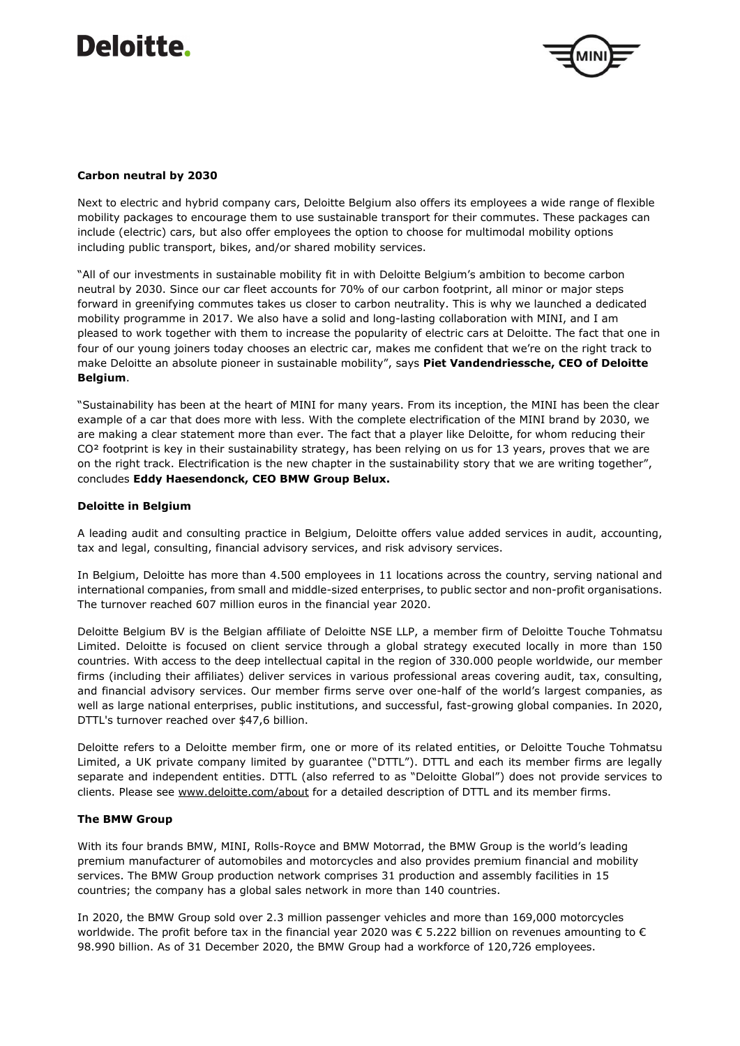# Deloitte.



### **Carbon neutral by 2030**

Next to electric and hybrid company cars, Deloitte Belgium also offers its employees a wide range of flexible mobility packages to encourage them to use sustainable transport for their commutes. These packages can include (electric) cars, but also offer employees the option to choose for multimodal mobility options including public transport, bikes, and/or shared mobility services.

"All of our investments in sustainable mobility fit in with Deloitte Belgium's ambition to become carbon neutral by 2030. Since our car fleet accounts for 70% of our carbon footprint, all minor or major steps forward in greenifying commutes takes us closer to carbon neutrality. This is why we launched a dedicated mobility programme in 2017. We also have a solid and long-lasting collaboration with MINI, and I am pleased to work together with them to increase the popularity of electric cars at Deloitte. The fact that one in four of our young joiners today chooses an electric car, makes me confident that we're on the right track to make Deloitte an absolute pioneer in sustainable mobility", says **Piet Vandendriessche, CEO of Deloitte Belgium**.

"Sustainability has been at the heart of MINI for many years. From its inception, the MINI has been the clear example of a car that does more with less. With the complete electrification of the MINI brand by 2030, we are making a clear statement more than ever. The fact that a player like Deloitte, for whom reducing their CO<sup>2</sup> footprint is key in their sustainability strategy, has been relying on us for 13 years, proves that we are on the right track. Electrification is the new chapter in the sustainability story that we are writing together", concludes **Eddy Haesendonck, CEO BMW Group Belux.**

#### **Deloitte in Belgium**

A leading audit and consulting practice in Belgium, Deloitte offers value added services in audit, accounting, tax and legal, consulting, financial advisory services, and risk advisory services.

In Belgium, Deloitte has more than 4.500 employees in 11 locations across the country, serving national and international companies, from small and middle-sized enterprises, to public sector and non-profit organisations. The turnover reached 607 million euros in the financial year 2020.

Deloitte Belgium BV is the Belgian affiliate of Deloitte NSE LLP, a member firm of Deloitte Touche Tohmatsu Limited. Deloitte is focused on client service through a global strategy executed locally in more than 150 countries. With access to the deep intellectual capital in the region of 330.000 people worldwide, our member firms (including their affiliates) deliver services in various professional areas covering audit, tax, consulting, and financial advisory services. Our member firms serve over one-half of the world's largest companies, as well as large national enterprises, public institutions, and successful, fast-growing global companies. In 2020, DTTL's turnover reached over \$47,6 billion.

Deloitte refers to a Deloitte member firm, one or more of its related entities, or Deloitte Touche Tohmatsu Limited, a UK private company limited by guarantee ("DTTL"). DTTL and each its member firms are legally separate and independent entities. DTTL (also referred to as "Deloitte Global") does not provide services to clients. Please see [www.deloitte.com/about](http://www.deloitte.com/about) for a detailed description of DTTL and its member firms.

### **The BMW Group**

With its four brands BMW, MINI, Rolls-Royce and BMW Motorrad, the BMW Group is the world's leading premium manufacturer of automobiles and motorcycles and also provides premium financial and mobility services. The BMW Group production network comprises 31 production and assembly facilities in 15 countries; the company has a global sales network in more than 140 countries.

In 2020, the BMW Group sold over 2.3 million passenger vehicles and more than 169,000 motorcycles worldwide. The profit before tax in the financial year 2020 was € 5.222 billion on revenues amounting to € 98.990 billion. As of 31 December 2020, the BMW Group had a workforce of 120,726 employees.